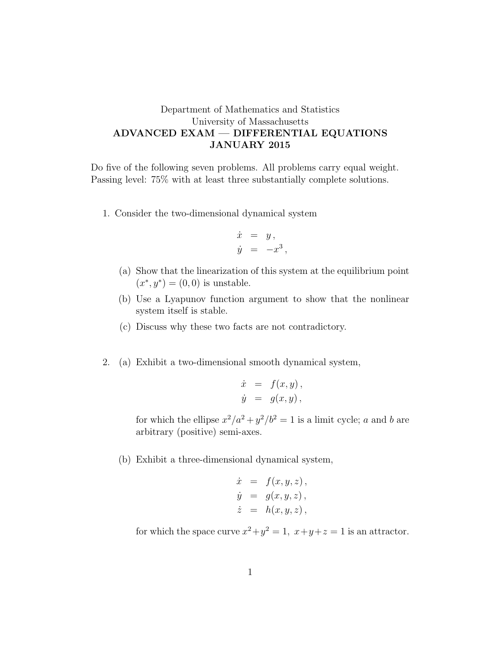## Department of Mathematics and Statistics University of Massachusetts ADVANCED EXAM — DIFFERENTIAL EQUATIONS JANUARY 2015

Do five of the following seven problems. All problems carry equal weight. Passing level: 75% with at least three substantially complete solutions.

1. Consider the two-dimensional dynamical system

$$
\begin{array}{rcl}\n\dot{x} & = & y, \\
\dot{y} & = & -x^3,\n\end{array}
$$

- (a) Show that the linearization of this system at the equilibrium point  $(x^*, y^*) = (0, 0)$  is unstable.
- (b) Use a Lyapunov function argument to show that the nonlinear system itself is stable.
- (c) Discuss why these two facts are not contradictory.
- 2. (a) Exhibit a two-dimensional smooth dynamical system,

$$
\dot{x} = f(x, y), \n\dot{y} = g(x, y),
$$

for which the ellipse  $x^2/a^2 + y^2/b^2 = 1$  is a limit cycle; a and b are arbitrary (positive) semi-axes.

(b) Exhibit a three-dimensional dynamical system,

$$
\dot{x} = f(x, y, z),
$$
  
\n
$$
\dot{y} = g(x, y, z),
$$
  
\n
$$
\dot{z} = h(x, y, z),
$$

for which the space curve  $x^2 + y^2 = 1$ ,  $x+y+z=1$  is an attractor.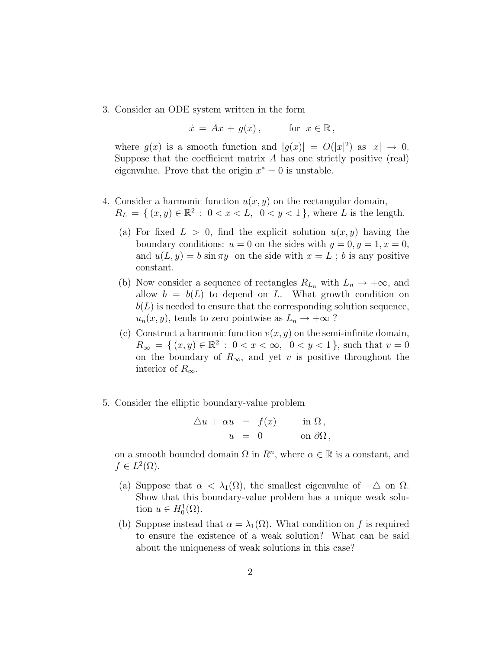3. Consider an ODE system written in the form

$$
\dot{x} = Ax + g(x), \quad \text{for } x \in \mathbb{R},
$$

where  $g(x)$  is a smooth function and  $|g(x)| = O(|x|^2)$  as  $|x| \to 0$ . Suppose that the coefficient matrix  $A$  has one strictly positive (real) eigenvalue. Prove that the origin  $x^* = 0$  is unstable.

- 4. Consider a harmonic function  $u(x, y)$  on the rectangular domain,  $R_L = \{ (x, y) \in \mathbb{R}^2 : 0 < x < L, 0 < y < 1 \}$ , where L is the length.
	- (a) For fixed  $L > 0$ , find the explicit solution  $u(x, y)$  having the boundary conditions:  $u = 0$  on the sides with  $y = 0, y = 1, x = 0$ , and  $u(L, y) = b \sin \pi y$  on the side with  $x = L$ ; b is any positive constant.
	- (b) Now consider a sequence of rectangles  $R_{L_n}$  with  $L_n \to +\infty$ , and allow  $b = b(L)$  to depend on L. What growth condition on  $b(L)$  is needed to ensure that the corresponding solution sequence,  $u_n(x, y)$ , tends to zero pointwise as  $L_n \to +\infty$ ?
	- (c) Construct a harmonic function  $v(x, y)$  on the semi-infinite domain,  $R_{\infty} = \{ (x, y) \in \mathbb{R}^2 : 0 < x < \infty, \ 0 < y < 1 \}$ , such that  $v = 0$ on the boundary of  $R_{\infty}$ , and yet v is positive throughout the interior of  $R_{\infty}$ .
- 5. Consider the elliptic boundary-value problem

$$
\Delta u + \alpha u = f(x) \quad \text{in } \Omega, \n u = 0 \quad \text{on } \partial\Omega,
$$

on a smooth bounded domain  $\Omega$  in  $R^n$ , where  $\alpha \in \mathbb{R}$  is a constant, and  $f \in L^2(\Omega)$ .

- (a) Suppose that  $\alpha < \lambda_1(\Omega)$ , the smallest eigenvalue of  $-\Delta$  on  $\Omega$ . Show that this boundary-value problem has a unique weak solution  $u \in H_0^1(\Omega)$ .
- (b) Suppose instead that  $\alpha = \lambda_1(\Omega)$ . What condition on f is required to ensure the existence of a weak solution? What can be said about the uniqueness of weak solutions in this case?